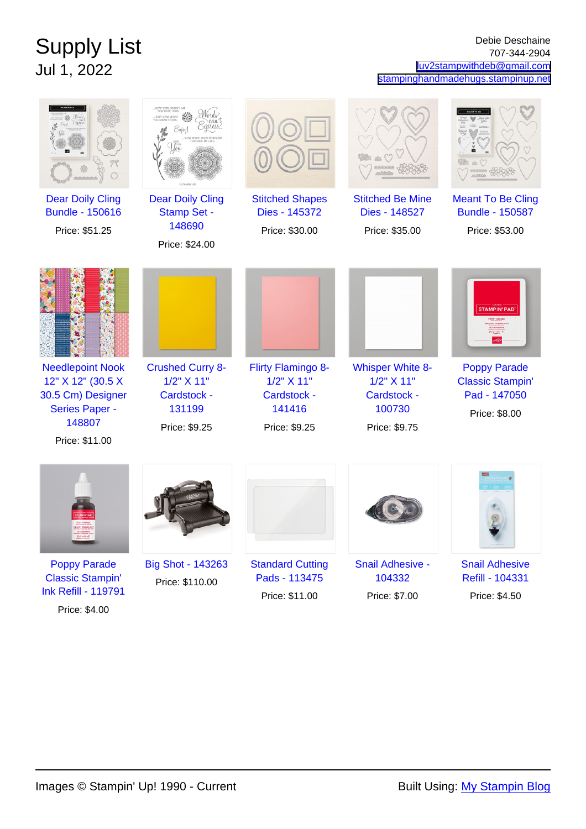## Supply List Jul 1, 2022

## Debie Deschaine 707-344-2904 [luv2stampwithdeb@gmail.com](mailto:luv2stampwithdeb@gmail.com) [stampinghandmadehugs.stampinup.net](http://stampinghandmadehugs.stampinup.net)

|                                                                                                                 |                                                                                 |                                                                            | es O                                                                            |                                                                                 |
|-----------------------------------------------------------------------------------------------------------------|---------------------------------------------------------------------------------|----------------------------------------------------------------------------|---------------------------------------------------------------------------------|---------------------------------------------------------------------------------|
| <b>Dear Doily Cling</b><br><b>Bundle - 150616</b><br>Price: \$51.25                                             | <b>Dear Doily Cling</b><br><b>Stamp Set -</b><br>148690<br>Price: \$24.00       | <b>Stitched Shapes</b><br>Dies - 145372<br>Price: \$30.00                  | <b>Stitched Be Mine</b><br>Dies - 148527<br>Price: \$35.00                      | <b>Meant To Be Cling</b><br><b>Bundle - 150587</b><br>Price: \$53.00            |
|                                                                                                                 |                                                                                 |                                                                            |                                                                                 | <b>STAMPIN' PAD</b>                                                             |
| <b>Needlepoint Nook</b><br>12" X 12" (30.5 X<br>30.5 Cm) Designer<br>Series Paper -<br>148807<br>Price: \$11.00 | <b>Crushed Curry 8-</b><br>1/2" X 11"<br>Cardstock -<br>131199<br>Price: \$9.25 | Flirty Flamingo 8-<br>1/2" X 11"<br>Cardstock -<br>141416<br>Price: \$9.25 | <b>Whisper White 8-</b><br>1/2" X 11"<br>Cardstock -<br>100730<br>Price: \$9.75 | <b>Poppy Parade</b><br><b>Classic Stampin'</b><br>Pad - 147050<br>Price: \$8.00 |
|                                                                                                                 |                                                                                 |                                                                            |                                                                                 |                                                                                 |
| <b>Poppy Parade</b><br><b>Classic Stampin'</b><br><b>Ink Refill - 119791</b>                                    | <b>Big Shot - 143263</b><br>Price: \$110.00                                     | <b>Standard Cutting</b><br>Pads - 113475<br>Price: \$11.00                 | Snail Adhesive -<br>104332<br>Price: \$7.00                                     | <b>Snail Adhesive</b><br>Refill - 104331<br>Price: \$4.50                       |